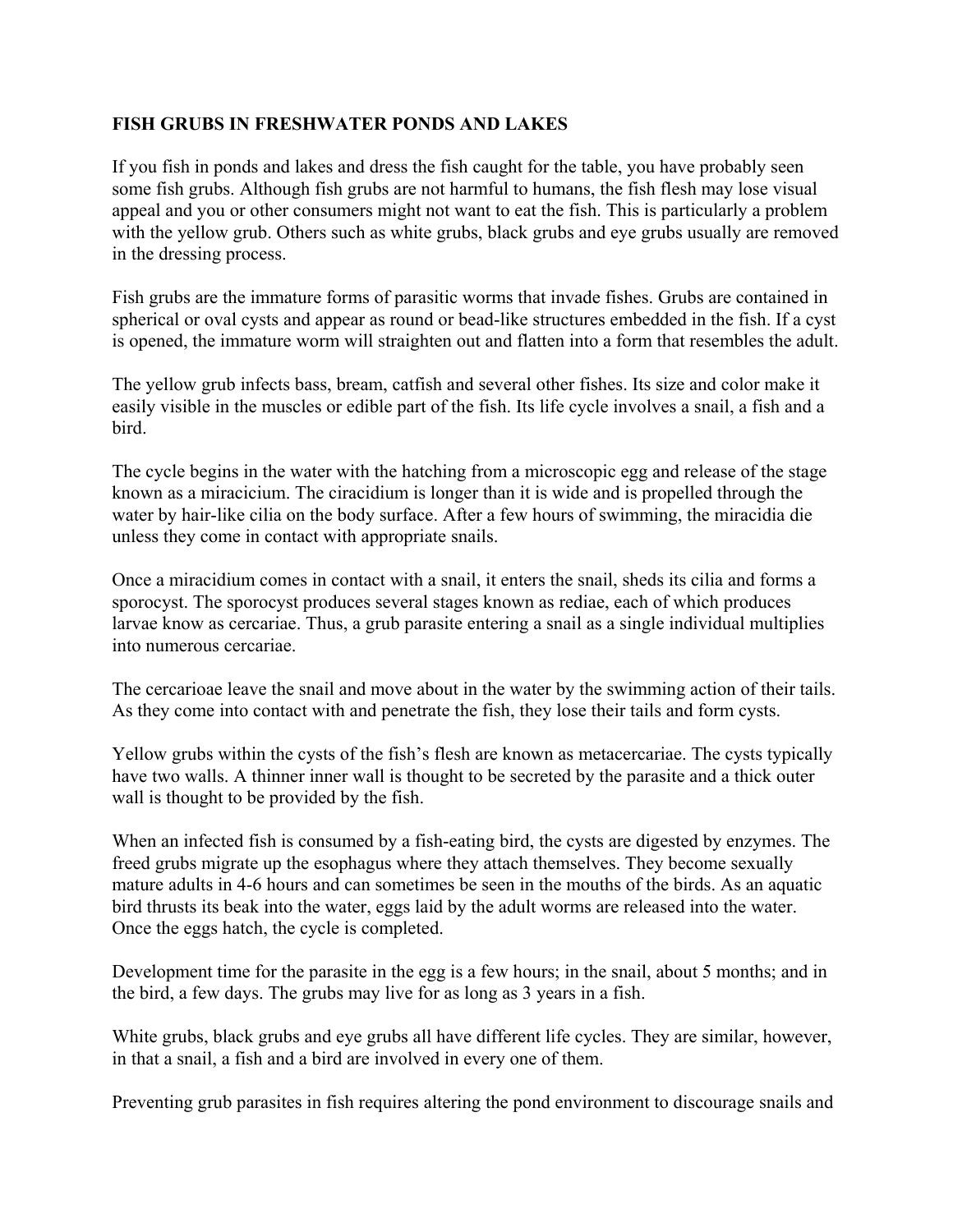## **FISH GRUBS IN FRESHWATER PONDS AND LAKES**

If you fish in ponds and lakes and dress the fish caught for the table, you have probably seen some fish grubs. Although fish grubs are not harmful to humans, the fish flesh may lose visual appeal and you or other consumers might not want to eat the fish. This is particularly a problem with the yellow grub. Others such as white grubs, black grubs and eye grubs usually are removed in the dressing process.

Fish grubs are the immature forms of parasitic worms that invade fishes. Grubs are contained in spherical or oval cysts and appear as round or bead-like structures embedded in the fish. If a cyst is opened, the immature worm will straighten out and flatten into a form that resembles the adult.

The yellow grub infects bass, bream, catfish and several other fishes. Its size and color make it easily visible in the muscles or edible part of the fish. Its life cycle involves a snail, a fish and a bird.

The cycle begins in the water with the hatching from a microscopic egg and release of the stage known as a miracicium. The ciracidium is longer than it is wide and is propelled through the water by hair-like cilia on the body surface. After a few hours of swimming, the miracidia die unless they come in contact with appropriate snails.

Once a miracidium comes in contact with a snail, it enters the snail, sheds its cilia and forms a sporocyst. The sporocyst produces several stages known as rediae, each of which produces larvae know as cercariae. Thus, a grub parasite entering a snail as a single individual multiplies into numerous cercariae.

The cercarioae leave the snail and move about in the water by the swimming action of their tails. As they come into contact with and penetrate the fish, they lose their tails and form cysts.

Yellow grubs within the cysts of the fish's flesh are known as metacercariae. The cysts typically have two walls. A thinner inner wall is thought to be secreted by the parasite and a thick outer wall is thought to be provided by the fish.

When an infected fish is consumed by a fish-eating bird, the cysts are digested by enzymes. The freed grubs migrate up the esophagus where they attach themselves. They become sexually mature adults in 4-6 hours and can sometimes be seen in the mouths of the birds. As an aquatic bird thrusts its beak into the water, eggs laid by the adult worms are released into the water. Once the eggs hatch, the cycle is completed.

Development time for the parasite in the egg is a few hours; in the snail, about 5 months; and in the bird, a few days. The grubs may live for as long as 3 years in a fish.

White grubs, black grubs and eye grubs all have different life cycles. They are similar, however, in that a snail, a fish and a bird are involved in every one of them.

Preventing grub parasites in fish requires altering the pond environment to discourage snails and